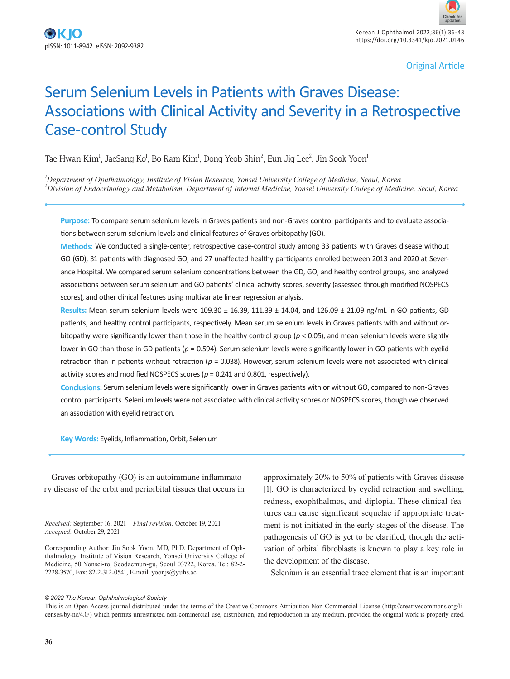Korean J Ophthalmol 2022;36(1):36-43 https://doi.org/10.3341/kjo.2021.0146

Original Article

# Serum Selenium Levels in Patients with Graves Disease: Associations with Clinical Activity and Severity in a Retrospective Case-control Study

Tae Hwan Kim $^{\rm l}$ , JaeSang Ko $^{\rm l}$ , Bo Ram Kim $^{\rm l}$ , Dong Yeob Shin $^{\rm 2}$ , Eun Jig Lee $^{\rm 2}$ , Jin Sook Yoon $^{\rm l}$ 

*1 Department of Ophthalmology, Institute of Vision Research, Yonsei University College of Medicine, Seoul, Korea 2 Division of Endocrinology and Metabolism, Department of Internal Medicine, Yonsei University College of Medicine, Seoul, Korea*

**Purpose:** To compare serum selenium levels in Graves patients and non-Graves control participants and to evaluate associations between serum selenium levels and clinical features of Graves orbitopathy (GO).

**Methods:** We conducted a single-center, retrospective case-control study among 33 patients with Graves disease without GO (GD), 31 patients with diagnosed GO, and 27 unaffected healthy participants enrolled between 2013 and 2020 at Severance Hospital. We compared serum selenium concentrations between the GD, GO, and healthy control groups, and analyzed associations between serum selenium and GO patients' clinical activity scores, severity (assessed through modified NOSPECS scores), and other clinical features using multivariate linear regression analysis.

**Results:** Mean serum selenium levels were 109.30 ± 16.39, 111.39 ± 14.04, and 126.09 ± 21.09 ng/mL in GO patients, GD patients, and healthy control participants, respectively. Mean serum selenium levels in Graves patients with and without orbitopathy were significantly lower than those in the healthy control group (*p* < 0.05), and mean selenium levels were slightly lower in GO than those in GD patients (*p* = 0.594). Serum selenium levels were significantly lower in GO patients with eyelid retraction than in patients without retraction (*p* = 0.038). However, serum selenium levels were not associated with clinical activity scores and modified NOSPECS scores (*p* = 0.241 and 0.801, respectively).

**Conclusions:** Serum selenium levels were significantly lower in Graves patients with or without GO, compared to non-Graves control participants. Selenium levels were not associated with clinical activity scores or NOSPECS scores, though we observed an association with eyelid retraction.

**Key Words:** Eyelids, Inflammation, Orbit, Selenium

Graves orbitopathy (GO) is an autoimmune inflammatory disease of the orbit and periorbital tissues that occurs in

*Received:* September 16, 2021 *Final revision:* October 19, 2021 *Accepted:* October 29, 2021

approximately 20% to 50% of patients with Graves disease [1]. GO is characterized by eyelid retraction and swelling, redness, exophthalmos, and diplopia. These clinical features can cause significant sequelae if appropriate treatment is not initiated in the early stages of the disease. The pathogenesis of GO is yet to be clarified, though the activation of orbital fibroblasts is known to play a key role in the development of the disease.

Selenium is an essential trace element that is an important

#### *© 2022 The Korean Ophthalmological Society*

This is an Open Access journal distributed under the terms of the Creative Commons Attribution Non-Commercial License (http://creativecommons.org/licenses/by-nc/4.0/) which permits unrestricted non-commercial use, distribution, and reproduction in any medium, provided the original work is properly cited.

Corresponding Author: Jin Sook Yoon, MD, PhD. Department of Ophthalmology, Institute of Vision Research, Yonsei University College of Medicine, 50 Yonsei-ro, Seodaemun-gu, Seoul 03722, Korea. Tel: 82-2- 2228-3570, Fax: 82-2-312-0541, E-mail: yoonjs@yuhs.ac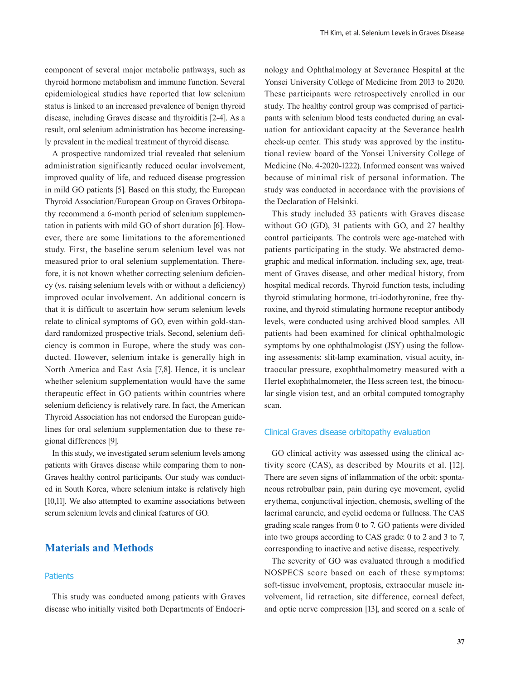component of several major metabolic pathways, such as thyroid hormone metabolism and immune function. Several epidemiological studies have reported that low selenium status is linked to an increased prevalence of benign thyroid disease, including Graves disease and thyroiditis [2-4]. As a result, oral selenium administration has become increasingly prevalent in the medical treatment of thyroid disease.

A prospective randomized trial revealed that selenium administration significantly reduced ocular involvement, improved quality of life, and reduced disease progression in mild GO patients [5]. Based on this study, the European Thyroid Association/European Group on Graves Orbitopathy recommend a 6-month period of selenium supplementation in patients with mild GO of short duration [6]. However, there are some limitations to the aforementioned study. First, the baseline serum selenium level was not measured prior to oral selenium supplementation. Therefore, it is not known whether correcting selenium deficiency (vs. raising selenium levels with or without a deficiency) improved ocular involvement. An additional concern is that it is difficult to ascertain how serum selenium levels relate to clinical symptoms of GO, even within gold-standard randomized prospective trials. Second, selenium deficiency is common in Europe, where the study was conducted. However, selenium intake is generally high in North America and East Asia [7,8]. Hence, it is unclear whether selenium supplementation would have the same therapeutic effect in GO patients within countries where selenium deficiency is relatively rare. In fact, the American Thyroid Association has not endorsed the European guidelines for oral selenium supplementation due to these regional differences [9].

In this study, we investigated serum selenium levels among patients with Graves disease while comparing them to non-Graves healthy control participants. Our study was conducted in South Korea, where selenium intake is relatively high [10,11]. We also attempted to examine associations between serum selenium levels and clinical features of GO.

## **Materials and Methods**

#### **Patients**

This study was conducted among patients with Graves disease who initially visited both Departments of Endocrinology and Ophthalmology at Severance Hospital at the Yonsei University College of Medicine from 2013 to 2020. These participants were retrospectively enrolled in our study. The healthy control group was comprised of participants with selenium blood tests conducted during an evaluation for antioxidant capacity at the Severance health check-up center. This study was approved by the institutional review board of the Yonsei University College of Medicine (No. 4-2020-1222). Informed consent was waived because of minimal risk of personal information. The study was conducted in accordance with the provisions of the Declaration of Helsinki.

This study included 33 patients with Graves disease without GO (GD), 31 patients with GO, and 27 healthy control participants. The controls were age-matched with patients participating in the study. We abstracted demographic and medical information, including sex, age, treatment of Graves disease, and other medical history, from hospital medical records. Thyroid function tests, including thyroid stimulating hormone, tri-iodothyronine, free thyroxine, and thyroid stimulating hormone receptor antibody levels, were conducted using archived blood samples. All patients had been examined for clinical ophthalmologic symptoms by one ophthalmologist (JSY) using the following assessments: slit-lamp examination, visual acuity, intraocular pressure, exophthalmometry measured with a Hertel exophthalmometer, the Hess screen test, the binocular single vision test, and an orbital computed tomography scan.

#### Clinical Graves disease orbitopathy evaluation

GO clinical activity was assessed using the clinical activity score (CAS), as described by Mourits et al. [12]. There are seven signs of inflammation of the orbit: spontaneous retrobulbar pain, pain during eye movement, eyelid erythema, conjunctival injection, chemosis, swelling of the lacrimal caruncle, and eyelid oedema or fullness. The CAS grading scale ranges from 0 to 7. GO patients were divided into two groups according to CAS grade: 0 to 2 and 3 to 7, corresponding to inactive and active disease, respectively.

The severity of GO was evaluated through a modified NOSPECS score based on each of these symptoms: soft-tissue involvement, proptosis, extraocular muscle involvement, lid retraction, site difference, corneal defect, and optic nerve compression [13], and scored on a scale of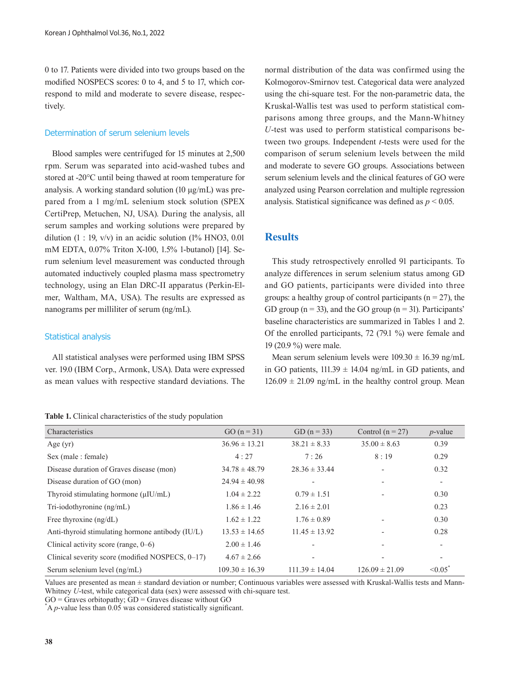0 to 17. Patients were divided into two groups based on the modified NOSPECS scores: 0 to 4, and 5 to 17, which correspond to mild and moderate to severe disease, respectively.

#### Determination of serum selenium levels

Blood samples were centrifuged for 15 minutes at 2,500 rpm. Serum was separated into acid-washed tubes and stored at -20°C until being thawed at room temperature for analysis. A working standard solution (10 μg/mL) was prepared from a 1 mg/mL selenium stock solution (SPEX CertiPrep, Metuchen, NJ, USA). During the analysis, all serum samples and working solutions were prepared by dilution  $(1 : 19, v/v)$  in an acidic solution  $(1\%$  HNO3, 0.01 mM EDTA, 0.07% Triton X-100, 1.5% 1-butanol) [14]. Serum selenium level measurement was conducted through automated inductively coupled plasma mass spectrometry technology, using an Elan DRC-II apparatus (Perkin-Elmer, Waltham, MA, USA). The results are expressed as nanograms per milliliter of serum (ng/mL).

#### Statistical analysis

All statistical analyses were performed using IBM SPSS ver. 19.0 (IBM Corp., Armonk, USA). Data were expressed as mean values with respective standard deviations. The

#### **Table 1.** Clinical characteristics of the study population

normal distribution of the data was confirmed using the Kolmogorov-Smirnov test. Categorical data were analyzed using the chi-square test. For the non-parametric data, the Kruskal-Wallis test was used to perform statistical comparisons among three groups, and the Mann-Whitney *U*-test was used to perform statistical comparisons between two groups. Independent *t*-tests were used for the comparison of serum selenium levels between the mild and moderate to severe GO groups. Associations between serum selenium levels and the clinical features of GO were analyzed using Pearson correlation and multiple regression analysis. Statistical significance was defined as *p* < 0.05.

### **Results**

This study retrospectively enrolled 91 participants. To analyze differences in serum selenium status among GD and GO patients, participants were divided into three groups: a healthy group of control participants ( $n = 27$ ), the GD group ( $n = 33$ ), and the GO group ( $n = 31$ ). Participants' baseline characteristics are summarized in Tables 1 and 2. Of the enrolled participants, 72 (79.1 %) were female and 19 (20.9 %) were male.

Mean serum selenium levels were  $109.30 \pm 16.39$  ng/mL in GO patients,  $111.39 \pm 14.04$  ng/mL in GD patients, and  $126.09 \pm 21.09$  ng/mL in the healthy control group. Mean

| Characteristics                                  | $GO (n = 31)$      | GD $(n = 33)$      | Control $(n = 27)$       | $p$ -value               |
|--------------------------------------------------|--------------------|--------------------|--------------------------|--------------------------|
| Age $(yr)$                                       | $36.96 \pm 13.21$  | $38.21 \pm 8.33$   | $35.00 \pm 8.63$         | 0.39                     |
| Sex (male : female)                              | 4:27               | 7:26               | 8:19                     | 0.29                     |
| Disease duration of Graves disease (mon)         | $34.78 \pm 48.79$  | $28.36 \pm 33.44$  | $\overline{\phantom{a}}$ | 0.32                     |
| Disease duration of GO (mon)                     | $24.94 \pm 40.98$  |                    |                          |                          |
| Thyroid stimulating hormone $(\mu I U/mL)$       | $1.04 \pm 2.22$    | $0.79 \pm 1.51$    |                          | 0.30                     |
| Tri-iodothyronine $(ng/mL)$                      | $1.86 \pm 1.46$    | $2.16 \pm 2.01$    |                          | 0.23                     |
| Free thyroxine $(ng/dL)$                         | $1.62 \pm 1.22$    | $1.76 \pm 0.89$    |                          | 0.30                     |
| Anti-thyroid stimulating hormone antibody (IU/L) | $13.53 \pm 14.65$  | $11.45 \pm 13.92$  |                          | 0.28                     |
| Clinical activity score (range, $0-6$ )          | $2.00 \pm 1.46$    |                    |                          | $\overline{\phantom{a}}$ |
| Clinical severity score (modified NOSPECS, 0-17) | $4.67 \pm 2.66$    |                    |                          |                          |
| Serum selenium level (ng/mL)                     | $109.30 \pm 16.39$ | $111.39 \pm 14.04$ | $126.09 \pm 21.09$       | $\leq 0.05$              |

Values are presented as mean ± standard deviation or number; Continuous variables were assessed with Kruskal-Wallis tests and Mann-Whitney *U*-test, while categorical data (sex) were assessed with chi-square test.

 $GO =$  Graves orbitopathy;  $GD =$  Graves disease without  $GO$ 

 $A$  *p*-value less than 0.05 was considered statistically significant.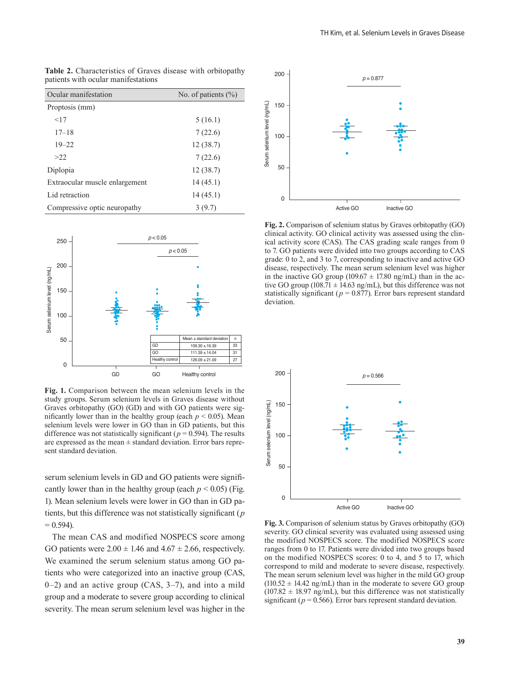| Ocular manifestation           | No. of patients $(\% )$ |  |  |
|--------------------------------|-------------------------|--|--|
| Proptosis (mm)                 |                         |  |  |
| <17                            | 5(16.1)                 |  |  |
| $17 - 18$                      | 7(22.6)                 |  |  |
| $19 - 22$                      | 12(38.7)                |  |  |
| >22                            | 7(22.6)                 |  |  |
| Diplopia                       | 12(38.7)                |  |  |
| Extraocular muscle enlargement | 14(45.1)                |  |  |
| Lid retraction                 | 14(45.1)                |  |  |
| Compressive optic neuropathy   | 3(9.7)                  |  |  |

**Table 2.** Characteristics of Graves disease with orbitopathy patients with ocular manifestations



**Fig. 1.** Comparison between the mean selenium levels in the study groups. Serum selenium levels in Graves disease without Graves orbitopathy (GO) (GD) and with GO patients were significantly lower than in the healthy group (each  $p < 0.05$ ). Mean selenium levels were lower in GO than in GD patients, but this difference was not statistically significant ( $p = 0.594$ ). The results are expressed as the mean  $\pm$  standard deviation. Error bars represent standard deviation.

serum selenium levels in GD and GO patients were significantly lower than in the healthy group (each  $p < 0.05$ ) (Fig. 1). Mean selenium levels were lower in GO than in GD patients, but this difference was not statistically significant (*p*  $= 0.594$ ).

The mean CAS and modified NOSPECS score among GO patients were  $2.00 \pm 1.46$  and  $4.67 \pm 2.66$ , respectively. We examined the serum selenium status among GO patients who were categorized into an inactive group (CAS, 0–2) and an active group (CAS, 3–7), and into a mild group and a moderate to severe group according to clinical severity. The mean serum selenium level was higher in the



**Fig. 2.** Comparison of selenium status by Graves orbitopathy (GO) clinical activity. GO clinical activity was assessed using the clinical activity score (CAS). The CAS grading scale ranges from 0 to 7. GO patients were divided into two groups according to CAS grade: 0 to 2, and 3 to 7, corresponding to inactive and active GO disease, respectively. The mean serum selenium level was higher in the inactive GO group (109.67  $\pm$  17.80 ng/mL) than in the active GO group (108.71  $\pm$  14.63 ng/mL), but this difference was not statistically significant ( $p = 0.877$ ). Error bars represent standard deviation.



**Fig. 3.** Comparison of selenium status by Graves orbitopathy (GO) severity. GO clinical severity was evaluated using assessed using the modified NOSPECS score. The modified NOSPECS score ranges from 0 to 17. Patients were divided into two groups based on the modified NOSPECS scores: 0 to 4, and 5 to 17, which correspond to mild and moderate to severe disease, respectively. The mean serum selenium level was higher in the mild GO group  $(110.52 \pm 14.42 \text{ ng/mL})$  than in the moderate to severe GO group  $(107.82 \pm 18.97 \text{ ng/mL})$ , but this difference was not statistically significant ( $p = 0.566$ ). Error bars represent standard deviation.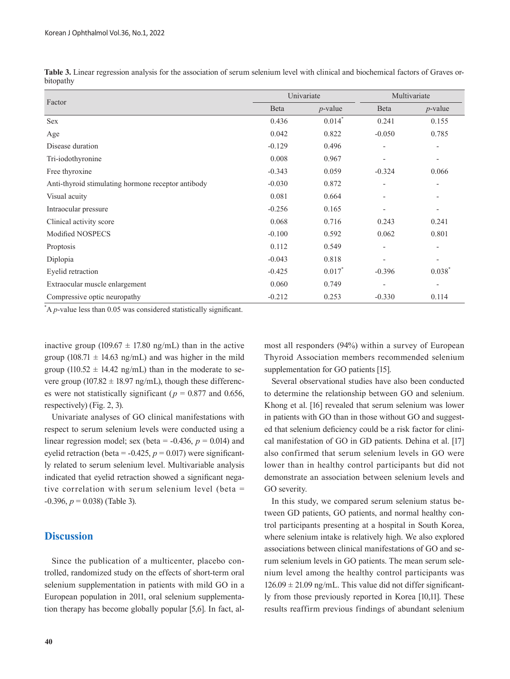| Table 3. Linear regression analysis for the association of serum selenium level with clinical and biochemical factors of Graves or- |  |  |  |  |  |
|-------------------------------------------------------------------------------------------------------------------------------------|--|--|--|--|--|
| bitopathy                                                                                                                           |  |  |  |  |  |

|                                                    |              | Univariate           | Multivariate             |                              |  |
|----------------------------------------------------|--------------|----------------------|--------------------------|------------------------------|--|
| Factor                                             | <b>B</b> eta | $p$ -value           | Beta                     | $p$ -value                   |  |
| <b>Sex</b>                                         | 0.436        | $0.014$ <sup>*</sup> | 0.241                    | 0.155                        |  |
| Age                                                | 0.042        | 0.822                | $-0.050$                 | 0.785                        |  |
| Disease duration                                   | $-0.129$     | 0.496                | $\overline{\phantom{a}}$ | $\overline{\phantom{a}}$     |  |
| Tri-iodothyronine                                  | 0.008        | 0.967                | $\overline{\phantom{a}}$ | $\overline{\phantom{a}}$     |  |
| Free thyroxine                                     | $-0.343$     | 0.059                | $-0.324$                 | 0.066                        |  |
| Anti-thyroid stimulating hormone receptor antibody | $-0.030$     | 0.872                | $\overline{a}$           | $\overline{\phantom{a}}$     |  |
| Visual acuity                                      | 0.081        | 0.664                | $\overline{\phantom{a}}$ |                              |  |
| Intraocular pressure                               | $-0.256$     | 0.165                | $\overline{\phantom{a}}$ | $\qquad \qquad \blacksquare$ |  |
| Clinical activity score                            | 0.068        | 0.716                | 0.243                    | 0.241                        |  |
| Modified NOSPECS                                   | $-0.100$     | 0.592                | 0.062                    | 0.801                        |  |
| Proptosis                                          | 0.112        | 0.549                | $\overline{a}$           | $\overline{\phantom{a}}$     |  |
| Diplopia                                           | $-0.043$     | 0.818                |                          |                              |  |
| Eyelid retraction                                  | $-0.425$     | $0.017*$             | $-0.396$                 | 0.038                        |  |
| Extraocular muscle enlargement                     | 0.060        | 0.749                | $\overline{\phantom{a}}$ | $\overline{\phantom{a}}$     |  |
| Compressive optic neuropathy                       | $-0.212$     | 0.253                | $-0.330$                 | 0.114                        |  |

\* A *p*-value less than 0.05 was considered statistically significant.

inactive group (109.67  $\pm$  17.80 ng/mL) than in the active group (108.71  $\pm$  14.63 ng/mL) and was higher in the mild group (110.52  $\pm$  14.42 ng/mL) than in the moderate to severe group (107.82  $\pm$  18.97 ng/mL), though these differences were not statistically significant ( $p = 0.877$  and 0.656, respectively) (Fig. 2, 3).

Univariate analyses of GO clinical manifestations with respect to serum selenium levels were conducted using a linear regression model; sex (beta =  $-0.436$ ,  $p = 0.014$ ) and eyelid retraction (beta =  $-0.425$ ,  $p = 0.017$ ) were significantly related to serum selenium level. Multivariable analysis indicated that eyelid retraction showed a significant negative correlation with serum selenium level (beta = -0.396, *p* = 0.038) (Table 3).

## **Discussion**

Since the publication of a multicenter, placebo controlled, randomized study on the effects of short-term oral selenium supplementation in patients with mild GO in a European population in 2011, oral selenium supplementation therapy has become globally popular [5,6]. In fact, al-

**40** 

most all responders (94%) within a survey of European Thyroid Association members recommended selenium supplementation for GO patients [15].

Several observational studies have also been conducted to determine the relationship between GO and selenium. Khong et al. [16] revealed that serum selenium was lower in patients with GO than in those without GO and suggested that selenium deficiency could be a risk factor for clinical manifestation of GO in GD patients. Dehina et al. [17] also confirmed that serum selenium levels in GO were lower than in healthy control participants but did not demonstrate an association between selenium levels and GO severity.

In this study, we compared serum selenium status between GD patients, GO patients, and normal healthy control participants presenting at a hospital in South Korea, where selenium intake is relatively high. We also explored associations between clinical manifestations of GO and serum selenium levels in GO patients. The mean serum selenium level among the healthy control participants was  $126.09 \pm 21.09$  ng/mL. This value did not differ significantly from those previously reported in Korea [10,11]. These results reaffirm previous findings of abundant selenium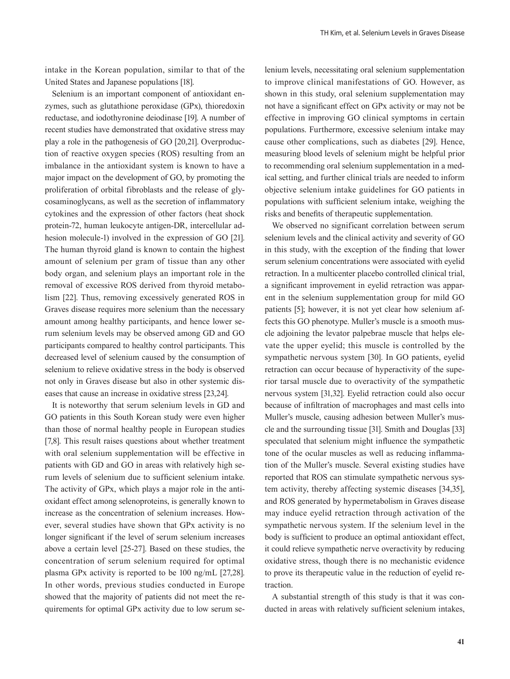intake in the Korean population, similar to that of the United States and Japanese populations [18].

Selenium is an important component of antioxidant enzymes, such as glutathione peroxidase (GPx), thioredoxin reductase, and iodothyronine deiodinase [19]. A number of recent studies have demonstrated that oxidative stress may play a role in the pathogenesis of GO [20,21]. Overproduction of reactive oxygen species (ROS) resulting from an imbalance in the antioxidant system is known to have a major impact on the development of GO, by promoting the proliferation of orbital fibroblasts and the release of glycosaminoglycans, as well as the secretion of inflammatory cytokines and the expression of other factors (heat shock protein-72, human leukocyte antigen-DR, intercellular adhesion molecule-1) involved in the expression of GO [21]. The human thyroid gland is known to contain the highest amount of selenium per gram of tissue than any other body organ, and selenium plays an important role in the removal of excessive ROS derived from thyroid metabolism [22]. Thus, removing excessively generated ROS in Graves disease requires more selenium than the necessary amount among healthy participants, and hence lower serum selenium levels may be observed among GD and GO participants compared to healthy control participants. This decreased level of selenium caused by the consumption of selenium to relieve oxidative stress in the body is observed not only in Graves disease but also in other systemic diseases that cause an increase in oxidative stress [23,24].

It is noteworthy that serum selenium levels in GD and GO patients in this South Korean study were even higher than those of normal healthy people in European studies [7,8]. This result raises questions about whether treatment with oral selenium supplementation will be effective in patients with GD and GO in areas with relatively high serum levels of selenium due to sufficient selenium intake. The activity of GPx, which plays a major role in the antioxidant effect among selenoproteins, is generally known to increase as the concentration of selenium increases. However, several studies have shown that GPx activity is no longer significant if the level of serum selenium increases above a certain level [25-27]. Based on these studies, the concentration of serum selenium required for optimal plasma GPx activity is reported to be 100 ng/mL [27,28]. In other words, previous studies conducted in Europe showed that the majority of patients did not meet the requirements for optimal GPx activity due to low serum se-

lenium levels, necessitating oral selenium supplementation to improve clinical manifestations of GO. However, as shown in this study, oral selenium supplementation may not have a significant effect on GPx activity or may not be effective in improving GO clinical symptoms in certain populations. Furthermore, excessive selenium intake may cause other complications, such as diabetes [29]. Hence, measuring blood levels of selenium might be helpful prior to recommending oral selenium supplementation in a medical setting, and further clinical trials are needed to inform objective selenium intake guidelines for GO patients in populations with sufficient selenium intake, weighing the risks and benefits of therapeutic supplementation.

We observed no significant correlation between serum selenium levels and the clinical activity and severity of GO in this study, with the exception of the finding that lower serum selenium concentrations were associated with eyelid retraction. In a multicenter placebo controlled clinical trial, a significant improvement in eyelid retraction was apparent in the selenium supplementation group for mild GO patients [5]; however, it is not yet clear how selenium affects this GO phenotype. Muller's muscle is a smooth muscle adjoining the levator palpebrae muscle that helps elevate the upper eyelid; this muscle is controlled by the sympathetic nervous system [30]. In GO patients, eyelid retraction can occur because of hyperactivity of the superior tarsal muscle due to overactivity of the sympathetic nervous system [31,32]. Eyelid retraction could also occur because of infiltration of macrophages and mast cells into Muller's muscle, causing adhesion between Muller's muscle and the surrounding tissue [31]. Smith and Douglas [33] speculated that selenium might influence the sympathetic tone of the ocular muscles as well as reducing inflammation of the Muller's muscle. Several existing studies have reported that ROS can stimulate sympathetic nervous system activity, thereby affecting systemic diseases [34,35], and ROS generated by hypermetabolism in Graves disease may induce eyelid retraction through activation of the sympathetic nervous system. If the selenium level in the body is sufficient to produce an optimal antioxidant effect, it could relieve sympathetic nerve overactivity by reducing oxidative stress, though there is no mechanistic evidence to prove its therapeutic value in the reduction of eyelid retraction.

A substantial strength of this study is that it was conducted in areas with relatively sufficient selenium intakes,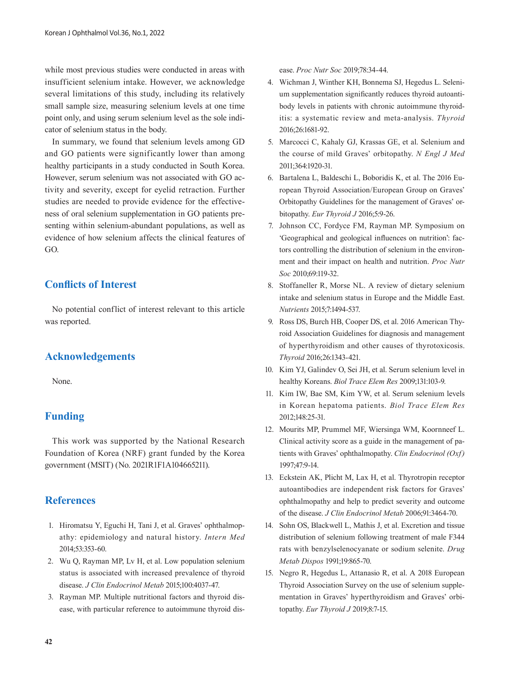while most previous studies were conducted in areas with insufficient selenium intake. However, we acknowledge several limitations of this study, including its relatively small sample size, measuring selenium levels at one time point only, and using serum selenium level as the sole indicator of selenium status in the body.

In summary, we found that selenium levels among GD and GO patients were significantly lower than among healthy participants in a study conducted in South Korea. However, serum selenium was not associated with GO activity and severity, except for eyelid retraction. Further studies are needed to provide evidence for the effectiveness of oral selenium supplementation in GO patients presenting within selenium-abundant populations, as well as evidence of how selenium affects the clinical features of GO.

# **Conflicts of Interest**

No potential conflict of interest relevant to this article was reported.

# **Acknowledgements**

None.

# **Funding**

This work was supported by the National Research Foundation of Korea (NRF) grant funded by the Korea government (MSIT) (No. 2021R1F1A104665211).

## **References**

- 1. Hiromatsu Y, Eguchi H, Tani J, et al. Graves' ophthalmopathy: epidemiology and natural history. *Intern Med* 2014;53:353-60.
- 2. Wu Q, Rayman MP, Lv H, et al. Low population selenium status is associated with increased prevalence of thyroid disease. *J Clin Endocrinol Metab* 2015;100:4037-47.
- 3. Rayman MP. Multiple nutritional factors and thyroid disease, with particular reference to autoimmune thyroid dis-

ease. *Proc Nutr Soc* 2019;78:34-44.

- 4. Wichman J, Winther KH, Bonnema SJ, Hegedus L. Selenium supplementation significantly reduces thyroid autoantibody levels in patients with chronic autoimmune thyroiditis: a systematic review and meta-analysis. *Thyroid* 2016;26:1681-92.
- 5. Marcocci C, Kahaly GJ, Krassas GE, et al. Selenium and the course of mild Graves' orbitopathy. *N Engl J Med* 2011;364:1920-31.
- 6. Bartalena L, Baldeschi L, Boboridis K, et al. The 2016 European Thyroid Association/European Group on Graves' Orbitopathy Guidelines for the management of Graves' orbitopathy. *Eur Thyroid J* 2016;5:9-26.
- 7. Johnson CC, Fordyce FM, Rayman MP. Symposium on 'Geographical and geological influences on nutrition': factors controlling the distribution of selenium in the environment and their impact on health and nutrition. *Proc Nutr Soc* 2010;69:119-32.
- 8. Stoffaneller R, Morse NL. A review of dietary selenium intake and selenium status in Europe and the Middle East. *Nutrients* 2015;7:1494-537.
- 9. Ross DS, Burch HB, Cooper DS, et al. 2016 American Thyroid Association Guidelines for diagnosis and management of hyperthyroidism and other causes of thyrotoxicosis. *Thyroid* 2016;26:1343-421.
- 10. Kim YJ, Galindev O, Sei JH, et al. Serum selenium level in healthy Koreans. *Biol Trace Elem Res* 2009;131:103-9.
- 11. Kim IW, Bae SM, Kim YW, et al. Serum selenium levels in Korean hepatoma patients. *Biol Trace Elem Res* 2012;148:25-31.
- 12. Mourits MP, Prummel MF, Wiersinga WM, Koornneef L. Clinical activity score as a guide in the management of patients with Graves' ophthalmopathy. *Clin Endocrinol (Oxf)* 1997;47:9-14.
- 13. Eckstein AK, Plicht M, Lax H, et al. Thyrotropin receptor autoantibodies are independent risk factors for Graves' ophthalmopathy and help to predict severity and outcome of the disease. *J Clin Endocrinol Metab* 2006;91:3464-70.
- 14. Sohn OS, Blackwell L, Mathis J, et al. Excretion and tissue distribution of selenium following treatment of male F344 rats with benzylselenocyanate or sodium selenite. *Drug Metab Dispos* 1991;19:865-70.
- 15. Negro R, Hegedus L, Attanasio R, et al. A 2018 European Thyroid Association Survey on the use of selenium supplementation in Graves' hyperthyroidism and Graves' orbitopathy. *Eur Thyroid J* 2019;8:7-15.